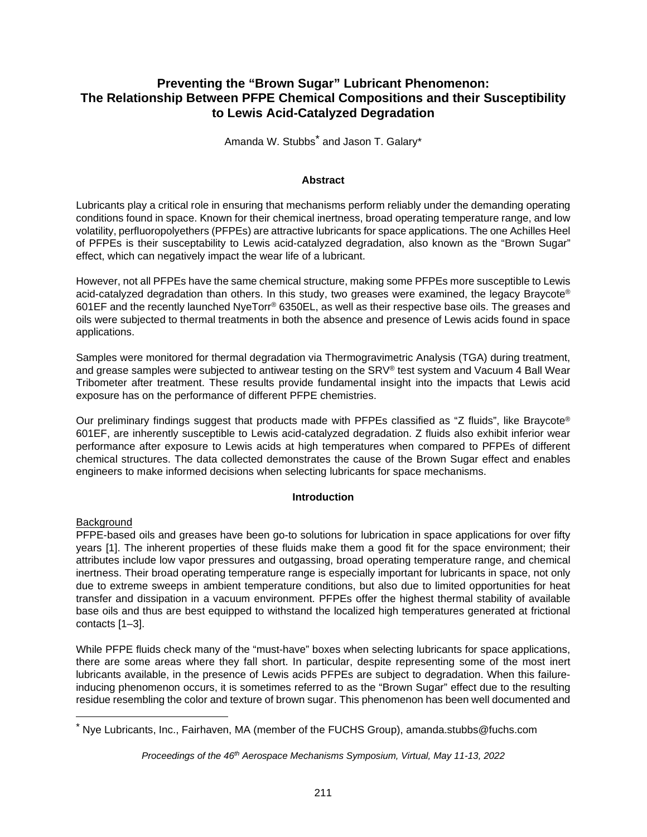# **Preventing the "Brown Sugar" Lubricant Phenomenon: The Relationship Between PFPE Chemical Compositions and their Susceptibility to Lewis Acid-Catalyzed Degradation**

Amanda W. Stubbs<sup>[\\*](#page-0-0)</sup> and Jason T. Galary\*

### **Abstract**

Lubricants play a critical role in ensuring that mechanisms perform reliably under the demanding operating conditions found in space. Known for their chemical inertness, broad operating temperature range, and low volatility, perfluoropolyethers (PFPEs) are attractive lubricants for space applications. The one Achilles Heel of PFPEs is their susceptability to Lewis acid-catalyzed degradation, also known as the "Brown Sugar" effect, which can negatively impact the wear life of a lubricant.

However, not all PFPEs have the same chemical structure, making some PFPEs more susceptible to Lewis acid-catalyzed degradation than others. In this study, two greases were examined, the legacy Braycote® 601EF and the recently launched NyeTorr® 6350EL, as well as their respective base oils. The greases and oils were subjected to thermal treatments in both the absence and presence of Lewis acids found in space applications.

Samples were monitored for thermal degradation via Thermogravimetric Analysis (TGA) during treatment, and grease samples were subjected to antiwear testing on the SRV® test system and Vacuum 4 Ball Wear Tribometer after treatment. These results provide fundamental insight into the impacts that Lewis acid exposure has on the performance of different PFPE chemistries.

Our preliminary findings suggest that products made with PFPEs classified as "Z fluids", like Braycote® 601EF, are inherently susceptible to Lewis acid-catalyzed degradation. Z fluids also exhibit inferior wear performance after exposure to Lewis acids at high temperatures when compared to PFPEs of different chemical structures. The data collected demonstrates the cause of the Brown Sugar effect and enables engineers to make informed decisions when selecting lubricants for space mechanisms.

### **Introduction**

## Background

PFPE-based oils and greases have been go-to solutions for lubrication in space applications for over fifty years [1]. The inherent properties of these fluids make them a good fit for the space environment; their attributes include low vapor pressures and outgassing, broad operating temperature range, and chemical inertness. Their broad operating temperature range is especially important for lubricants in space, not only due to extreme sweeps in ambient temperature conditions, but also due to limited opportunities for heat transfer and dissipation in a vacuum environment. PFPEs offer the highest thermal stability of available base oils and thus are best equipped to withstand the localized high temperatures generated at frictional contacts [1–3].

While PFPE fluids check many of the "must-have" boxes when selecting lubricants for space applications, there are some areas where they fall short. In particular, despite representing some of the most inert lubricants available, in the presence of Lewis acids PFPEs are subject to degradation. When this failureinducing phenomenon occurs, it is sometimes referred to as the "Brown Sugar" effect due to the resulting residue resembling the color and texture of brown sugar. This phenomenon has been well documented and

<span id="page-0-0"></span><sup>\*</sup> Nye Lubricants, Inc., Fairhaven, MA (member of the FUCHS Group), amanda.stubbs@fuchs.com

*Proceedings of the 46th Aerospace Mechanisms Symposium, Virtual, May 11-13, 2022*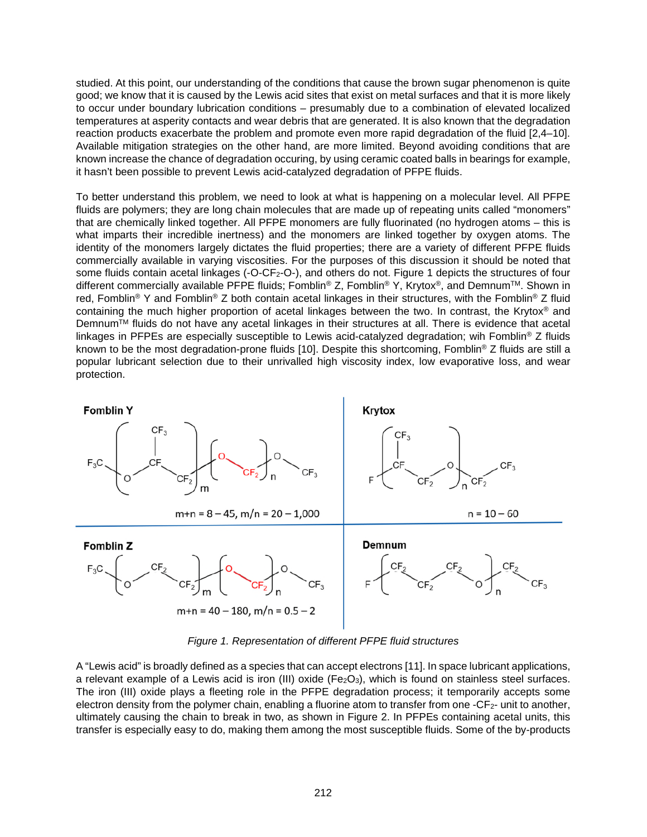studied. At this point, our understanding of the conditions that cause the brown sugar phenomenon is quite good; we know that it is caused by the Lewis acid sites that exist on metal surfaces and that it is more likely to occur under boundary lubrication conditions – presumably due to a combination of elevated localized temperatures at asperity contacts and wear debris that are generated. It is also known that the degradation reaction products exacerbate the problem and promote even more rapid degradation of the fluid [2,4–10]. Available mitigation strategies on the other hand, are more limited. Beyond avoiding conditions that are known increase the chance of degradation occuring, by using ceramic coated balls in bearings for example, it hasn't been possible to prevent Lewis acid-catalyzed degradation of PFPE fluids.

To better understand this problem, we need to look at what is happening on a molecular level. All PFPE fluids are polymers; they are long chain molecules that are made up of repeating units called "monomers" that are chemically linked together. All PFPE monomers are fully fluorinated (no hydrogen atoms – this is what imparts their incredible inertness) and the monomers are linked together by oxygen atoms. The identity of the monomers largely dictates the fluid properties; there are a variety of different PFPE fluids commercially available in varying viscosities. For the purposes of this discussion it should be noted that some fluids contain acetal linkages (-O-CF<sub>2</sub>-O-), and others do not. Figure 1 depicts the structures of four different commercially available PFPE fluids; Fomblin® Z, Fomblin® Y, Krytox®, and Demnum™. Shown in red, Fomblin<sup>®</sup> Y and Fomblin<sup>®</sup> Z both contain acetal linkages in their structures, with the Fomblin<sup>®</sup> Z fluid containing the much higher proportion of acetal linkages between the two. In contrast, the Krytox® and DemnumTM fluids do not have any acetal linkages in their structures at all. There is evidence that acetal linkages in PFPEs are especially susceptible to Lewis acid-catalyzed degradation; wih Fomblin® Z fluids known to be the most degradation-prone fluids [10]. Despite this shortcoming, Fomblin® Z fluids are still a popular lubricant selection due to their unrivalled high viscosity index, low evaporative loss, and wear protection.



*Figure 1. Representation of different PFPE fluid structures* 

A "Lewis acid" is broadly defined as a species that can accept electrons [11]. In space lubricant applications, a relevant example of a Lewis acid is iron (III) oxide (Fe $_2O_3$ ), which is found on stainless steel surfaces. The iron (III) oxide plays a fleeting role in the PFPE degradation process; it temporarily accepts some electron density from the polymer chain, enabling a fluorine atom to transfer from one -CF<sub>2</sub>- unit to another, ultimately causing the chain to break in two, as shown in Figure 2. In PFPEs containing acetal units, this transfer is especially easy to do, making them among the most susceptible fluids. Some of the by-products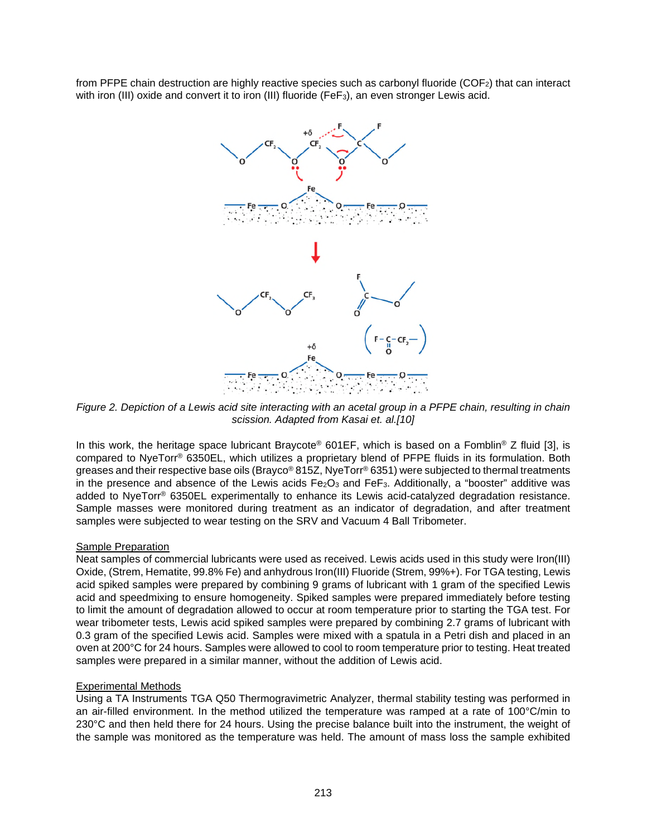from PFPE chain destruction are highly reactive species such as carbonyl fluoride (COF2) that can interact with iron (III) oxide and convert it to iron (III) fluoride (FeF<sub>3</sub>), an even stronger Lewis acid.



*Figure 2. Depiction of a Lewis acid site interacting with an acetal group in a PFPE chain, resulting in chain scission. Adapted from Kasai et. al.[10]* 

In this work, the heritage space lubricant Braycote<sup>®</sup> 601EF, which is based on a Fomblin<sup>®</sup> Z fluid [3], is compared to NyeTorr® 6350EL, which utilizes a proprietary blend of PFPE fluids in its formulation. Both greases and their respective base oils (Brayco® 815Z, NyeTorr® 6351) were subjected to thermal treatments in the presence and absence of the Lewis acids  $Fe<sub>2</sub>O<sub>3</sub>$  and  $FeF<sub>3</sub>$ . Additionally, a "booster" additive was added to NyeTorr® 6350EL experimentally to enhance its Lewis acid-catalyzed degradation resistance. Sample masses were monitored during treatment as an indicator of degradation, and after treatment samples were subjected to wear testing on the SRV and Vacuum 4 Ball Tribometer.

### Sample Preparation

Neat samples of commercial lubricants were used as received. Lewis acids used in this study were Iron(III) Oxide, (Strem, Hematite, 99.8% Fe) and anhydrous Iron(III) Fluoride (Strem, 99%+). For TGA testing, Lewis acid spiked samples were prepared by combining 9 grams of lubricant with 1 gram of the specified Lewis acid and speedmixing to ensure homogeneity. Spiked samples were prepared immediately before testing to limit the amount of degradation allowed to occur at room temperature prior to starting the TGA test. For wear tribometer tests, Lewis acid spiked samples were prepared by combining 2.7 grams of lubricant with 0.3 gram of the specified Lewis acid. Samples were mixed with a spatula in a Petri dish and placed in an oven at 200°C for 24 hours. Samples were allowed to cool to room temperature prior to testing. Heat treated samples were prepared in a similar manner, without the addition of Lewis acid.

## Experimental Methods

Using a TA Instruments TGA Q50 Thermogravimetric Analyzer, thermal stability testing was performed in an air-filled environment. In the method utilized the temperature was ramped at a rate of 100°C/min to 230°C and then held there for 24 hours. Using the precise balance built into the instrument, the weight of the sample was monitored as the temperature was held. The amount of mass loss the sample exhibited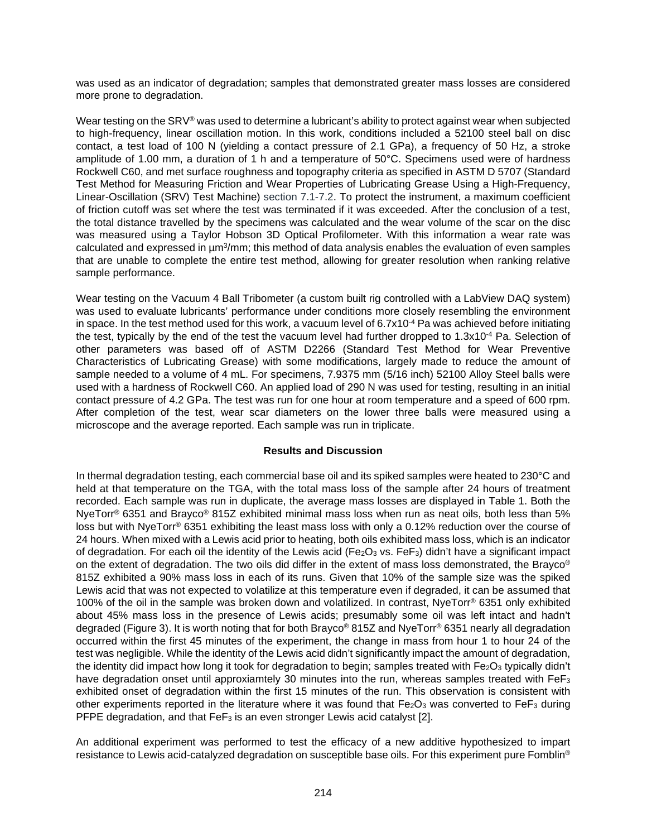was used as an indicator of degradation; samples that demonstrated greater mass losses are considered more prone to degradation.

Wear testing on the SRV<sup>®</sup> was used to determine a lubricant's ability to protect against wear when subjected to high-frequency, linear oscillation motion. In this work, conditions included a 52100 steel ball on disc contact, a test load of 100 N (yielding a contact pressure of 2.1 GPa), a frequency of 50 Hz, a stroke amplitude of 1.00 mm, a duration of 1 h and a temperature of 50°C. Specimens used were of hardness Rockwell C60, and met surface roughness and topography criteria as specified in ASTM D 5707 (Standard Test Method for Measuring Friction and Wear Properties of Lubricating Grease Using a High-Frequency, Linear-Oscillation (SRV) Test Machine) section 7.1-7.2. To protect the instrument, a maximum coefficient of friction cutoff was set where the test was terminated if it was exceeded. After the conclusion of a test, the total distance travelled by the specimens was calculated and the wear volume of the scar on the disc was measured using a Taylor Hobson 3D Optical Profilometer. With this information a wear rate was calculated and expressed in µm<sup>3</sup>/mm; this method of data analysis enables the evaluation of even samples that are unable to complete the entire test method, allowing for greater resolution when ranking relative sample performance.

Wear testing on the Vacuum 4 Ball Tribometer (a custom built rig controlled with a LabView DAQ system) was used to evaluate lubricants' performance under conditions more closely resembling the environment in space. In the test method used for this work, a vacuum level of  $6.7x10^{-4}$  Pa was achieved before initiating the test, typically by the end of the test the vacuum level had further dropped to 1.3x10-4 Pa. Selection of other parameters was based off of ASTM D2266 (Standard Test Method for Wear Preventive Characteristics of Lubricating Grease) with some modifications, largely made to reduce the amount of sample needed to a volume of 4 mL. For specimens, 7.9375 mm (5/16 inch) 52100 Alloy Steel balls were used with a hardness of Rockwell C60. An applied load of 290 N was used for testing, resulting in an initial contact pressure of 4.2 GPa. The test was run for one hour at room temperature and a speed of 600 rpm. After completion of the test, wear scar diameters on the lower three balls were measured using a microscope and the average reported. Each sample was run in triplicate.

### **Results and Discussion**

In thermal degradation testing, each commercial base oil and its spiked samples were heated to 230°C and held at that temperature on the TGA, with the total mass loss of the sample after 24 hours of treatment recorded. Each sample was run in duplicate, the average mass losses are displayed in Table 1. Both the NyeTorr® 6351 and Brayco® 815Z exhibited minimal mass loss when run as neat oils, both less than 5% loss but with NyeTorr® 6351 exhibiting the least mass loss with only a 0.12% reduction over the course of 24 hours. When mixed with a Lewis acid prior to heating, both oils exhibited mass loss, which is an indicator of degradation. For each oil the identity of the Lewis acid ( $Fe<sub>2</sub>O<sub>3</sub>$  vs. FeF<sub>3</sub>) didn't have a significant impact on the extent of degradation. The two oils did differ in the extent of mass loss demonstrated, the Brayco® 815Z exhibited a 90% mass loss in each of its runs. Given that 10% of the sample size was the spiked Lewis acid that was not expected to volatilize at this temperature even if degraded, it can be assumed that 100% of the oil in the sample was broken down and volatilized. In contrast, NyeTorr® 6351 only exhibited about 45% mass loss in the presence of Lewis acids; presumably some oil was left intact and hadn't degraded (Figure 3). It is worth noting that for both Brayco® 815Z and NyeTorr® 6351 nearly all degradation occurred within the first 45 minutes of the experiment, the change in mass from hour 1 to hour 24 of the test was negligible. While the identity of the Lewis acid didn't significantly impact the amount of degradation, the identity did impact how long it took for degradation to begin; samples treated with  $Fe<sub>2</sub>O<sub>3</sub>$  typically didn't have degradation onset until approxiamtely 30 minutes into the run, whereas samples treated with FeF<sub>3</sub> exhibited onset of degradation within the first 15 minutes of the run. This observation is consistent with other experiments reported in the literature where it was found that  $Fe<sub>2</sub>O<sub>3</sub>$  was converted to FeF<sub>3</sub> during PFPE degradation, and that  $FeF<sub>3</sub>$  is an even stronger Lewis acid catalyst [2].

An additional experiment was performed to test the efficacy of a new additive hypothesized to impart resistance to Lewis acid-catalyzed degradation on susceptible base oils. For this experiment pure Fomblin<sup>®</sup>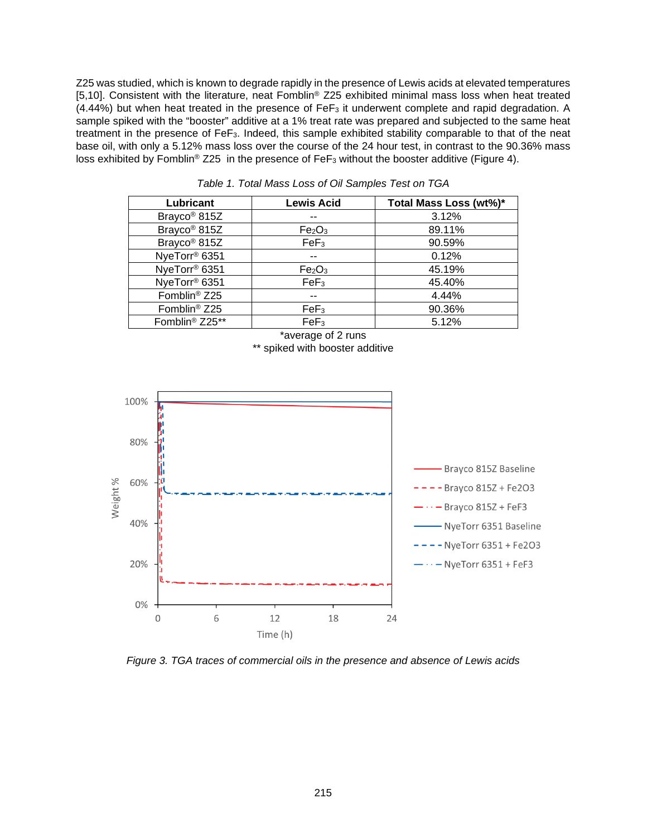Z25 was studied, which is known to degrade rapidly in the presence of Lewis acids at elevated temperatures [5,10]. Consistent with the literature, neat Fomblin® Z25 exhibited minimal mass loss when heat treated  $(4.44%)$  but when heat treated in the presence of FeF<sub>3</sub> it underwent complete and rapid degradation. A sample spiked with the "booster" additive at a 1% treat rate was prepared and subjected to the same heat treatment in the presence of FeF3. Indeed, this sample exhibited stability comparable to that of the neat base oil, with only a 5.12% mass loss over the course of the 24 hour test, in contrast to the 90.36% mass loss exhibited by Fomblin® Z25 in the presence of FeF<sub>3</sub> without the booster additive (Figure 4).

| Lubricant                | <b>Lewis Acid</b>              | Total Mass Loss (wt%)* |
|--------------------------|--------------------------------|------------------------|
| Brayco <sup>®</sup> 815Z |                                | 3.12%                  |
| Brayco <sup>®</sup> 815Z | Fe <sub>2</sub> O <sub>3</sub> | 89.11%                 |
| Brayco <sup>®</sup> 815Z | FeF <sub>3</sub>               | 90.59%                 |
| NyeTorr® 6351            |                                | 0.12%                  |
| NyeTorr® 6351            | Fe <sub>2</sub> O <sub>3</sub> | 45.19%                 |
| NyeTorr® 6351            | FeF <sub>3</sub>               | 45.40%                 |
| Fomblin <sup>®</sup> Z25 |                                | 4.44%                  |
| Fomblin <sup>®</sup> Z25 | FeF <sub>3</sub>               | 90.36%                 |
| Fomblin® Z25**           | FeF <sub>3</sub>               | 5.12%                  |

*Table 1. Total Mass Loss of Oil Samples Test on TGA* 





*Figure 3. TGA traces of commercial oils in the presence and absence of Lewis acids*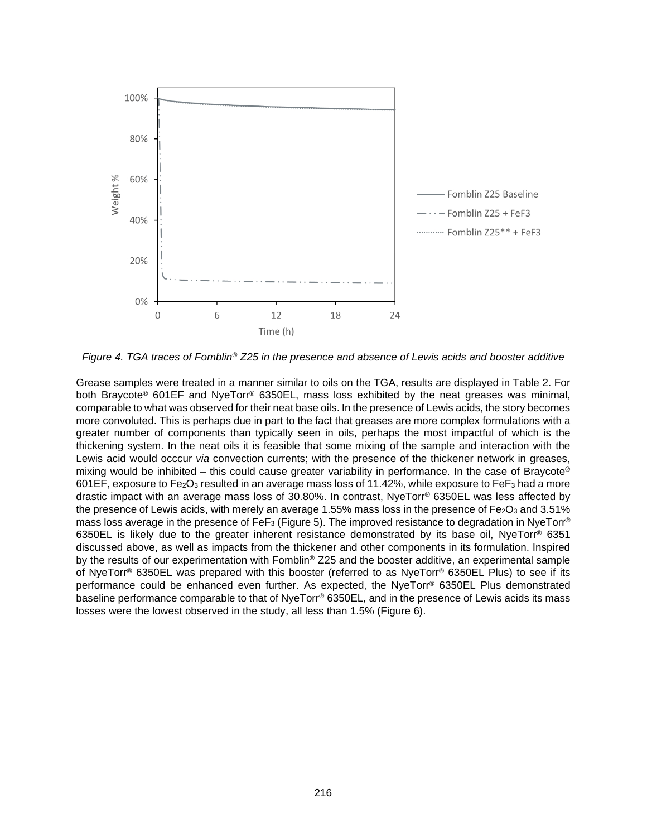

*Figure 4. TGA traces of Fomblin® Z25 in the presence and absence of Lewis acids and booster additive* 

Grease samples were treated in a manner similar to oils on the TGA, results are displayed in Table 2. For both Braycote® 601EF and NyeTorr® 6350EL, mass loss exhibited by the neat greases was minimal, comparable to what was observed for their neat base oils. In the presence of Lewis acids, the story becomes more convoluted. This is perhaps due in part to the fact that greases are more complex formulations with a greater number of components than typically seen in oils, perhaps the most impactful of which is the thickening system. In the neat oils it is feasible that some mixing of the sample and interaction with the Lewis acid would occcur *via* convection currents; with the presence of the thickener network in greases, mixing would be inhibited – this could cause greater variability in performance. In the case of Braycote® 601EF, exposure to Fe<sub>2</sub>O<sub>3</sub> resulted in an average mass loss of 11.42%, while exposure to FeF<sub>3</sub> had a more drastic impact with an average mass loss of 30.80%. In contrast, NyeTorr® 6350EL was less affected by the presence of Lewis acids, with merely an average 1.55% mass loss in the presence of  $Fe<sub>2</sub>O<sub>3</sub>$  and 3.51% mass loss average in the presence of FeF<sub>3</sub> (Figure 5). The improved resistance to degradation in NyeTorr<sup>®</sup> 6350EL is likely due to the greater inherent resistance demonstrated by its base oil, NyeTorr<sup>®</sup> 6351 discussed above, as well as impacts from the thickener and other components in its formulation. Inspired by the results of our experimentation with Fomblin® Z25 and the booster additive, an experimental sample of NyeTorr® 6350EL was prepared with this booster (referred to as NyeTorr® 6350EL Plus) to see if its performance could be enhanced even further. As expected, the NyeTorr® 6350EL Plus demonstrated baseline performance comparable to that of NyeTorr® 6350EL, and in the presence of Lewis acids its mass losses were the lowest observed in the study, all less than 1.5% (Figure 6).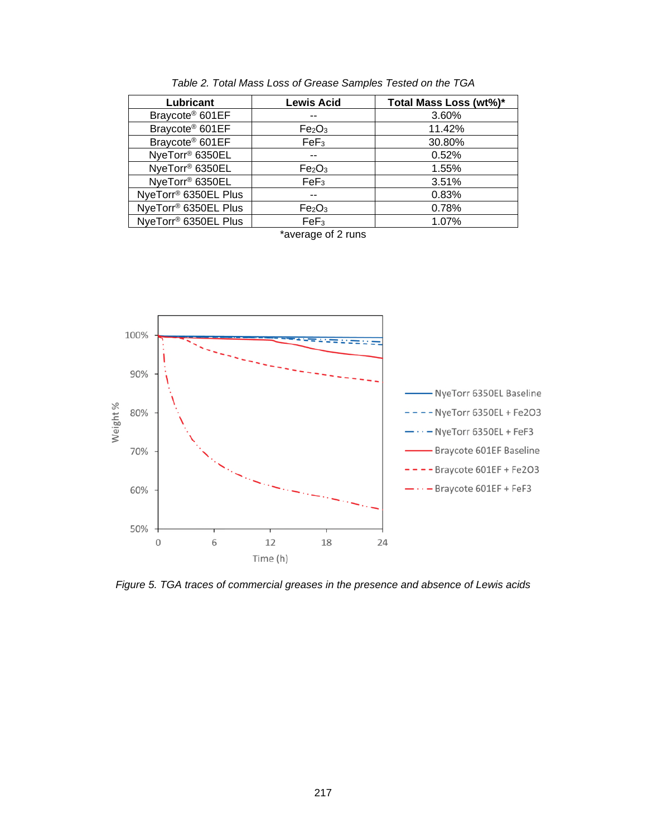| Lubricant                   | <b>Lewis Acid</b>              | Total Mass Loss (wt%)* |
|-----------------------------|--------------------------------|------------------------|
| Braycote <sup>®</sup> 601EF |                                | 3.60%                  |
| Braycote <sup>®</sup> 601EF | Fe <sub>2</sub> O <sub>3</sub> | 11.42%                 |
| Braycote <sup>®</sup> 601EF | FeF <sub>3</sub>               | 30.80%                 |
| NyeTorr® 6350EL             | $\sim$ $\sim$                  | 0.52%                  |
| NyeTorr® 6350EL             | Fe <sub>2</sub> O <sub>3</sub> | 1.55%                  |
| NyeTorr® 6350EL             | FeF <sub>3</sub>               | 3.51%                  |
| NyeTorr® 6350EL Plus        | --                             | 0.83%                  |
| NyeTorr® 6350EL Plus        | Fe <sub>2</sub> O <sub>3</sub> | 0.78%                  |
| NyeTorr® 6350EL Plus        | FeF <sub>3</sub>               | 1.07%                  |

*Table 2. Total Mass Loss of Grease Samples Tested on the TGA* 

\*average of 2 runs



*Figure 5. TGA traces of commercial greases in the presence and absence of Lewis acids*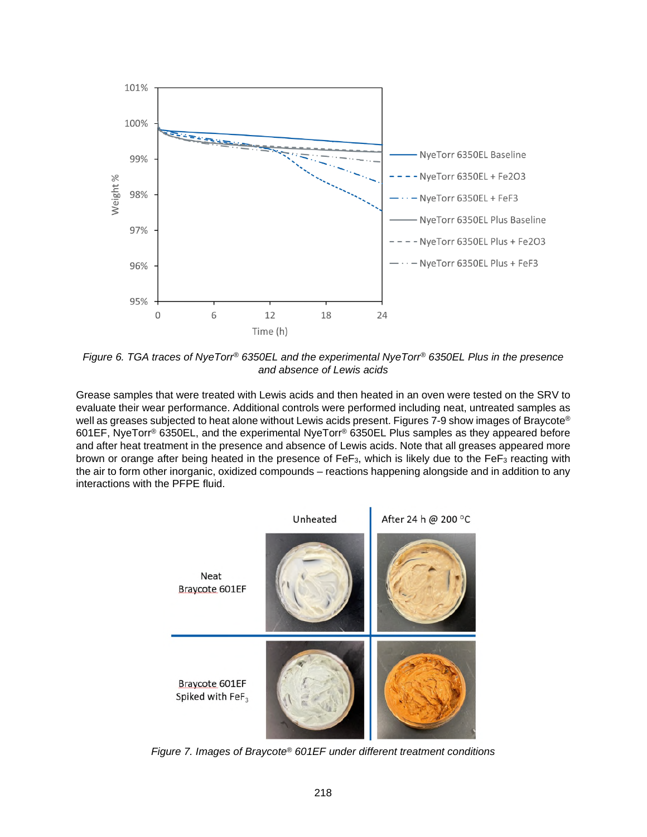

*Figure 6. TGA traces of NyeTorr® 6350EL and the experimental NyeTorr® 6350EL Plus in the presence and absence of Lewis acids* 

Grease samples that were treated with Lewis acids and then heated in an oven were tested on the SRV to evaluate their wear performance. Additional controls were performed including neat, untreated samples as well as greases subjected to heat alone without Lewis acids present. Figures 7-9 show images of Braycote® 601EF, NyeTorr® 6350EL, and the experimental NyeTorr® 6350EL Plus samples as they appeared before and after heat treatment in the presence and absence of Lewis acids. Note that all greases appeared more brown or orange after being heated in the presence of FeF<sub>3</sub>, which is likely due to the FeF<sub>3</sub> reacting with the air to form other inorganic, oxidized compounds – reactions happening alongside and in addition to any interactions with the PFPE fluid.



*Figure 7. Images of Braycote® 601EF under different treatment conditions*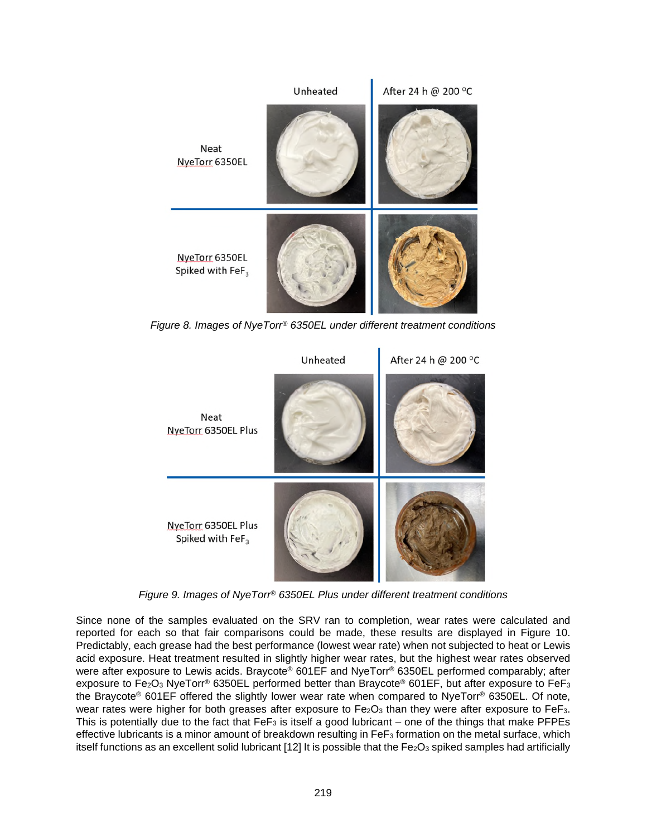

*Figure 8. Images of NyeTorr® 6350EL under different treatment conditions* 



*Figure 9. Images of NyeTorr® 6350EL Plus under different treatment conditions* 

Since none of the samples evaluated on the SRV ran to completion, wear rates were calculated and reported for each so that fair comparisons could be made, these results are displayed in Figure 10. Predictably, each grease had the best performance (lowest wear rate) when not subjected to heat or Lewis acid exposure. Heat treatment resulted in slightly higher wear rates, but the highest wear rates observed were after exposure to Lewis acids. Braycote® 601EF and NyeTorr® 6350EL performed comparably; after exposure to Fe<sub>2</sub>O<sub>3</sub> NyeTorr<sup>®</sup> 6350EL performed better than Braycote<sup>®</sup> 601EF, but after exposure to FeF<sub>3</sub> the Braycote® 601EF offered the slightly lower wear rate when compared to NyeTorr® 6350EL. Of note, wear rates were higher for both greases after exposure to  $Fe<sub>2</sub>O<sub>3</sub>$  than they were after exposure to FeF<sub>3</sub>. This is potentially due to the fact that  $FeF_3$  is itself a good lubricant – one of the things that make PFPEs effective lubricants is a minor amount of breakdown resulting in  $\text{Fe}_3$  formation on the metal surface, which itself functions as an excellent solid lubricant  $[12]$  It is possible that the Fe<sub>2</sub>O<sub>3</sub> spiked samples had artificially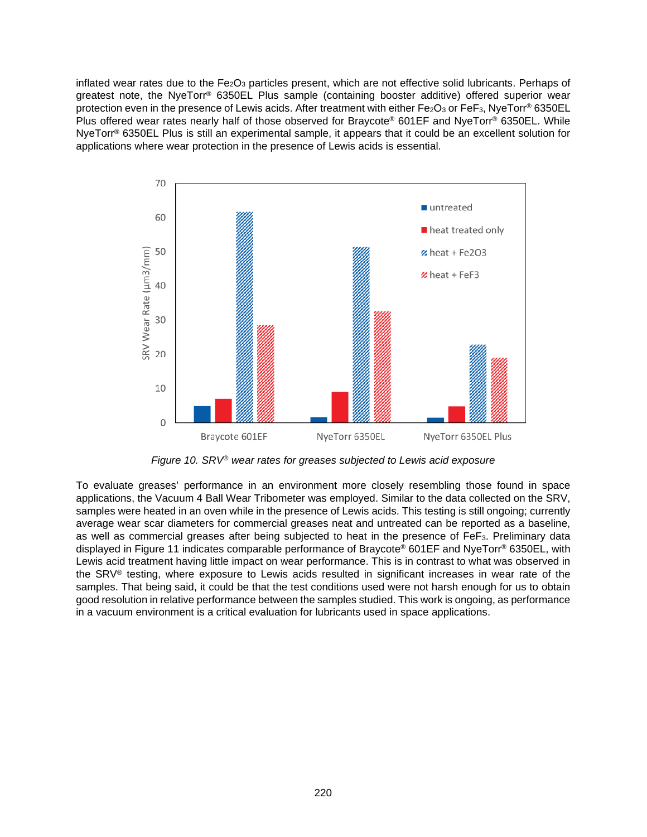inflated wear rates due to the  $Fe<sub>2</sub>O<sub>3</sub>$  particles present, which are not effective solid lubricants. Perhaps of greatest note, the NyeTorr® 6350EL Plus sample (containing booster additive) offered superior wear protection even in the presence of Lewis acids. After treatment with either  $Fe<sub>2</sub>O<sub>3</sub>$  or FeF<sub>3</sub>, NyeTorr<sup>®</sup> 6350EL Plus offered wear rates nearly half of those observed for Braycote® 601EF and NyeTorr® 6350EL. While NyeTorr® 6350EL Plus is still an experimental sample, it appears that it could be an excellent solution for applications where wear protection in the presence of Lewis acids is essential.



*Figure 10. SRV® wear rates for greases subjected to Lewis acid exposure* 

To evaluate greases' performance in an environment more closely resembling those found in space applications, the Vacuum 4 Ball Wear Tribometer was employed. Similar to the data collected on the SRV, samples were heated in an oven while in the presence of Lewis acids. This testing is still ongoing; currently average wear scar diameters for commercial greases neat and untreated can be reported as a baseline, as well as commercial greases after being subjected to heat in the presence of FeF3. Preliminary data displayed in Figure 11 indicates comparable performance of Braycote® 601EF and NyeTorr® 6350EL, with Lewis acid treatment having little impact on wear performance. This is in contrast to what was observed in the SRV® testing, where exposure to Lewis acids resulted in significant increases in wear rate of the samples. That being said, it could be that the test conditions used were not harsh enough for us to obtain good resolution in relative performance between the samples studied. This work is ongoing, as performance in a vacuum environment is a critical evaluation for lubricants used in space applications.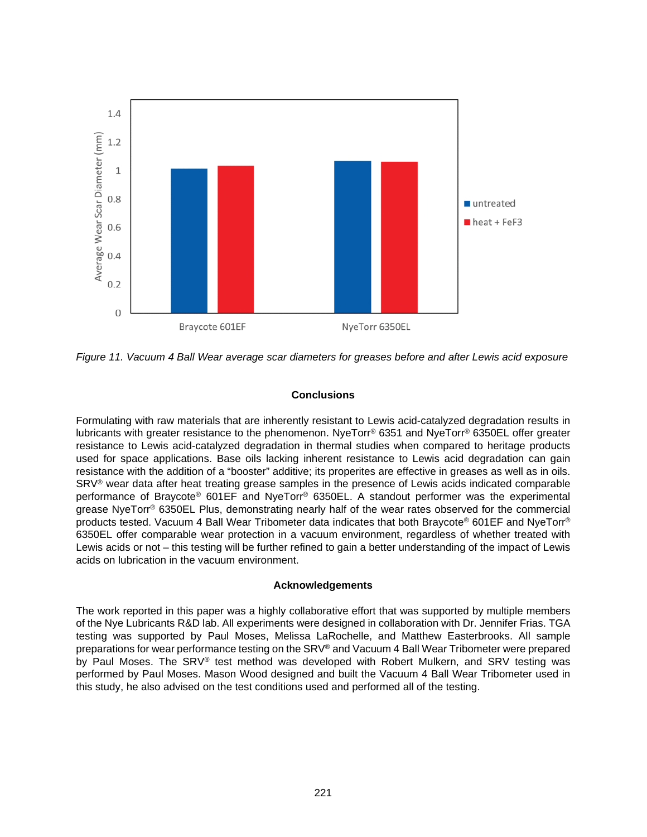

*Figure 11. Vacuum 4 Ball Wear average scar diameters for greases before and after Lewis acid exposure* 

## **Conclusions**

Formulating with raw materials that are inherently resistant to Lewis acid-catalyzed degradation results in lubricants with greater resistance to the phenomenon. NyeTorr® 6351 and NyeTorr® 6350EL offer greater resistance to Lewis acid-catalyzed degradation in thermal studies when compared to heritage products used for space applications. Base oils lacking inherent resistance to Lewis acid degradation can gain resistance with the addition of a "booster" additive; its properites are effective in greases as well as in oils. SRV® wear data after heat treating grease samples in the presence of Lewis acids indicated comparable performance of Braycote® 601EF and NyeTorr® 6350EL. A standout performer was the experimental grease NyeTorr® 6350EL Plus, demonstrating nearly half of the wear rates observed for the commercial products tested. Vacuum 4 Ball Wear Tribometer data indicates that both Braycote® 601EF and NyeTorr® 6350EL offer comparable wear protection in a vacuum environment, regardless of whether treated with Lewis acids or not – this testing will be further refined to gain a better understanding of the impact of Lewis acids on lubrication in the vacuum environment.

### **Acknowledgements**

The work reported in this paper was a highly collaborative effort that was supported by multiple members of the Nye Lubricants R&D lab. All experiments were designed in collaboration with Dr. Jennifer Frias. TGA testing was supported by Paul Moses, Melissa LaRochelle, and Matthew Easterbrooks. All sample preparations for wear performance testing on the SRV® and Vacuum 4 Ball Wear Tribometer were prepared by Paul Moses. The SRV® test method was developed with Robert Mulkern, and SRV testing was performed by Paul Moses. Mason Wood designed and built the Vacuum 4 Ball Wear Tribometer used in this study, he also advised on the test conditions used and performed all of the testing.